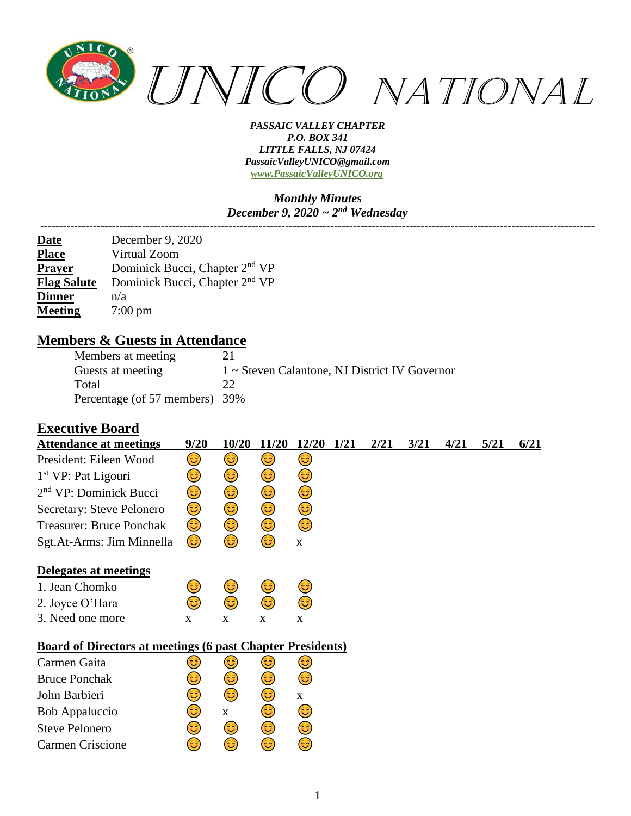

#### *Monthly Minutes December 9, 2020 ~ 2nd Wednesday*

| <u>Date</u>        | December 9, $2020$                         |
|--------------------|--------------------------------------------|
| <b>Place</b>       | Virtual Zoom                               |
| <b>Prayer</b>      | Dominick Bucci, Chapter 2 <sup>nd</sup> VP |
| <b>Flag Salute</b> | Dominick Bucci, Chapter 2 <sup>nd</sup> VP |
| <b>Dinner</b>      | n/a                                        |
| <b>Meeting</b>     | $7:00 \text{ pm}$                          |

#### **Members & Guests in Attendance**

| Members at meeting             | 21                                                 |
|--------------------------------|----------------------------------------------------|
| Guests at meeting              | $1 \sim$ Steven Calantone, NJ District IV Governor |
| Total                          |                                                    |
| Percentage (of 57 members) 39% |                                                    |

### **Executive Board**

| <b>Attendance at meetings</b>                                     | 9/20        | 10/20 | 11/20 | <b>12/20</b> | 1/21 | 2/21 | 3/21 | 4/21 | 5/21 | 6/21 |
|-------------------------------------------------------------------|-------------|-------|-------|--------------|------|------|------|------|------|------|
| President: Eileen Wood                                            | 3           | 3)    | 3)    | 3)           |      |      |      |      |      |      |
| $1st VP$ : Pat Ligouri                                            | 3           | 3)    | 3     | 3            |      |      |      |      |      |      |
| $2nd$ VP: Dominick Bucci                                          | ٢           | ٢     | ٢     | ٢            |      |      |      |      |      |      |
| Secretary: Steve Pelonero                                         | ٢           | ٢     | 3     | ٢            |      |      |      |      |      |      |
| <b>Treasurer: Bruce Ponchak</b>                                   | 3)          | ٢     | ٢     | ٢            |      |      |      |      |      |      |
| Sgt.At-Arms: Jim Minnella                                         | 3)          | 6     | 3     | X            |      |      |      |      |      |      |
| Delegates at meetings                                             |             |       |       |              |      |      |      |      |      |      |
| 1. Jean Chomko                                                    | ٢           | 3     | 3     | 3            |      |      |      |      |      |      |
| 2. Joyce O'Hara                                                   | 3           | 3     | ٢     | 3)           |      |      |      |      |      |      |
| 3. Need one more                                                  | $\mathbf X$ | X     | X     | X            |      |      |      |      |      |      |
| <b>Board of Directors at meetings (6 past Chapter Presidents)</b> |             |       |       |              |      |      |      |      |      |      |
| Carmen Gaita                                                      | ق           | 3     | 3)    | 3)           |      |      |      |      |      |      |
| <b>Bruce Ponchak</b>                                              | ٢           | 3     | 3)    | 3)           |      |      |      |      |      |      |
| John Barbieri                                                     | 3           | ٢     | ٢     | $\mathbf X$  |      |      |      |      |      |      |
| <b>Bob Appaluccio</b>                                             | 3           | X     | 3     | 3)           |      |      |      |      |      |      |
| <b>Steve Pelonero</b>                                             | 3           | 3)    | 3)    | 3)           |      |      |      |      |      |      |
| Carmen Criscione                                                  | 3           | ಡಿ    | 3     | 3)           |      |      |      |      |      |      |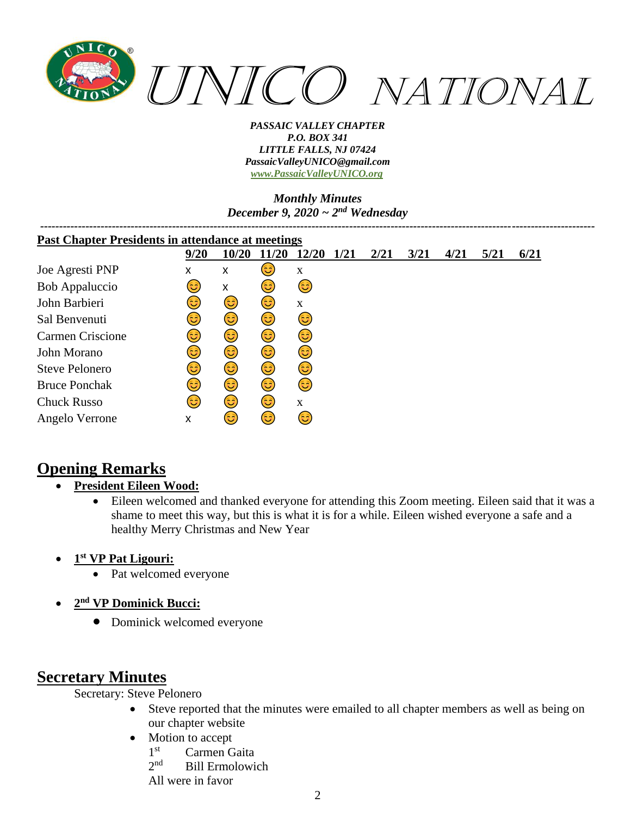

#### *Monthly Minutes December 9, 2020 ~ 2nd Wednesday*

| <b>Past Chapter Presidents in attendance at meetings</b> |      |       |      |       |      |      |      |      |      |      |
|----------------------------------------------------------|------|-------|------|-------|------|------|------|------|------|------|
|                                                          | 9/20 | 10/20 | 1/20 | 12/20 | 1/21 | 2/21 | 3/21 | 4/21 | 5/21 | 6/21 |
| Joe Agresti PNP                                          | x    | x     | 3    | X     |      |      |      |      |      |      |
| <b>Bob Appaluccio</b>                                    | 3    | X     | 3)   | ٢     |      |      |      |      |      |      |
| John Barbieri                                            | 3)   | 3)    | 3)   | X     |      |      |      |      |      |      |
| Sal Benvenuti                                            | 3    | 3)    | 3)   | 3)    |      |      |      |      |      |      |
| <b>Carmen Criscione</b>                                  | 3    | 3)    | 3)   | 3)    |      |      |      |      |      |      |
| John Morano                                              | 3    | 3)    | 3)   | 3     |      |      |      |      |      |      |
| <b>Steve Pelonero</b>                                    | 3    | ٢     | 3)   | 3)    |      |      |      |      |      |      |
| <b>Bruce Ponchak</b>                                     | 3    | 3     | 3)   | 3)    |      |      |      |      |      |      |
| <b>Chuck Russo</b>                                       | 3    | 6     | 3)   | X     |      |      |      |      |      |      |
| Angelo Verrone                                           | X    | 3     | 3)   | 3)    |      |      |      |      |      |      |

# **Opening Remarks**

#### • **President Eileen Wood:**

- Eileen welcomed and thanked everyone for attending this Zoom meeting. Eileen said that it was a shame to meet this way, but this is what it is for a while. Eileen wished everyone a safe and a healthy Merry Christmas and New Year
- **1 st VP Pat Ligouri:**
	- Pat welcomed everyone
- **2 nd VP Dominick Bucci:**
	- Dominick welcomed everyone

## **Secretary Minutes**

Secretary: Steve Pelonero

- Steve reported that the minutes were emailed to all chapter members as well as being on our chapter website
- Motion to accept
	- $1<sup>st</sup>$ Carmen Gaita
	- $2<sub>nd</sub>$ **Bill Ermolowich**

All were in favor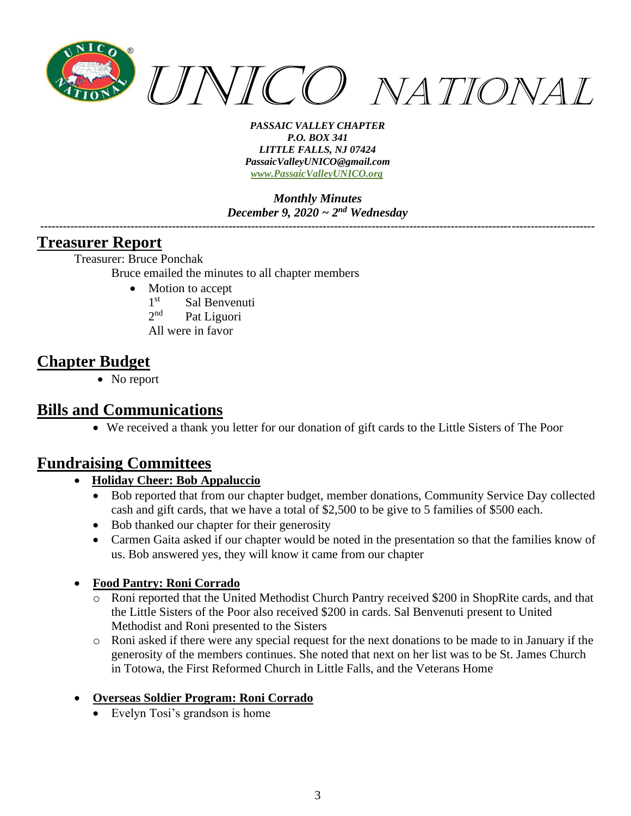

*Monthly Minutes December 9, 2020 ~ 2nd Wednesday*

*---------------------------------------------------------------------------------------------------------------------------------------------------*

### **Treasurer Report**

Treasurer: Bruce Ponchak

Bruce emailed the minutes to all chapter members

- Motion to accept
	- $1<sup>st</sup>$ Sal Benvenuti
	- $2<sup>nd</sup>$ Pat Liguori
	- All were in favor

## **Chapter Budget**

• No report

### **Bills and Communications**

• We received a thank you letter for our donation of gift cards to the Little Sisters of The Poor

# **Fundraising Committees**

#### • **Holiday Cheer: Bob Appaluccio**

- Bob reported that from our chapter budget, member donations, Community Service Day collected cash and gift cards, that we have a total of \$2,500 to be give to 5 families of \$500 each.
- Bob thanked our chapter for their generosity
- Carmen Gaita asked if our chapter would be noted in the presentation so that the families know of us. Bob answered yes, they will know it came from our chapter

#### • **Food Pantry: Roni Corrado**

- o Roni reported that the United Methodist Church Pantry received \$200 in ShopRite cards, and that the Little Sisters of the Poor also received \$200 in cards. Sal Benvenuti present to United Methodist and Roni presented to the Sisters
- o Roni asked if there were any special request for the next donations to be made to in January if the generosity of the members continues. She noted that next on her list was to be St. James Church in Totowa, the First Reformed Church in Little Falls, and the Veterans Home

#### • **Overseas Soldier Program: Roni Corrado**

• Evelyn Tosi's grandson is home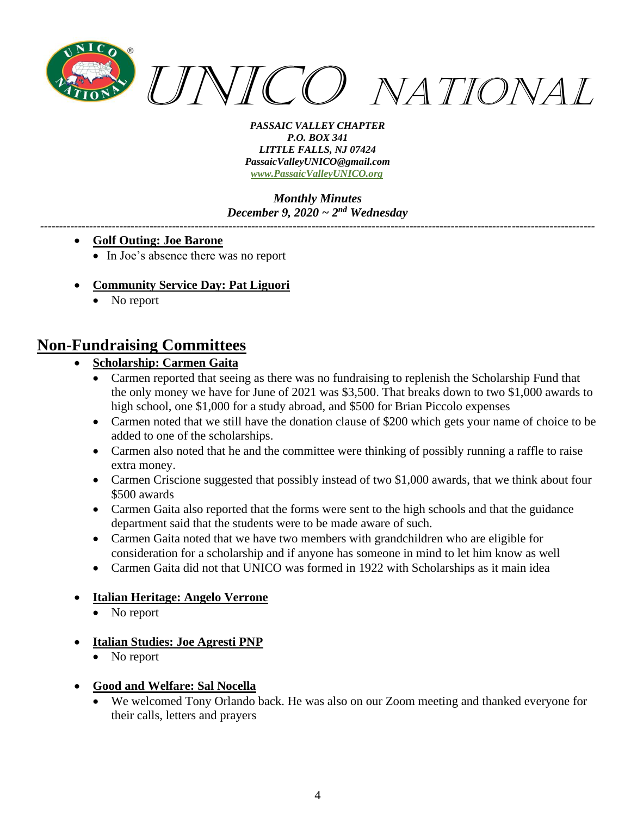

*Monthly Minutes December 9, 2020 ~ 2nd Wednesday*

*---------------------------------------------------------------------------------------------------------------------------------------------------*

- **Golf Outing: Joe Barone**
	- In Joe's absence there was no report
- **Community Service Day: Pat Liguori**
	- No report

### **Non-Fundraising Committees**

- **Scholarship: Carmen Gaita**
	- Carmen reported that seeing as there was no fundraising to replenish the Scholarship Fund that the only money we have for June of 2021 was \$3,500. That breaks down to two \$1,000 awards to high school, one \$1,000 for a study abroad, and \$500 for Brian Piccolo expenses
	- Carmen noted that we still have the donation clause of \$200 which gets your name of choice to be added to one of the scholarships.
	- Carmen also noted that he and the committee were thinking of possibly running a raffle to raise extra money.
	- Carmen Criscione suggested that possibly instead of two \$1,000 awards, that we think about four \$500 awards
	- Carmen Gaita also reported that the forms were sent to the high schools and that the guidance department said that the students were to be made aware of such.
	- Carmen Gaita noted that we have two members with grandchildren who are eligible for consideration for a scholarship and if anyone has someone in mind to let him know as well
	- Carmen Gaita did not that UNICO was formed in 1922 with Scholarships as it main idea

#### • **Italian Heritage: Angelo Verrone**

- No report
- **Italian Studies: Joe Agresti PNP**
	- No report
- **Good and Welfare: Sal Nocella**
	- We welcomed Tony Orlando back. He was also on our Zoom meeting and thanked everyone for their calls, letters and prayers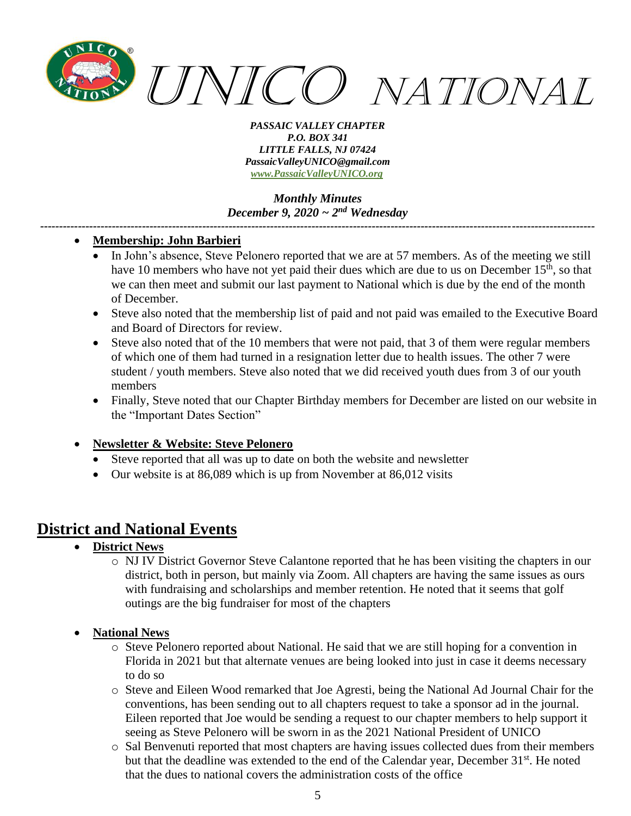

*Monthly Minutes December 9, 2020 ~ 2nd Wednesday*

*---------------------------------------------------------------------------------------------------------------------------------------------------*

#### • **Membership: John Barbieri**

- In John's absence, Steve Pelonero reported that we are at 57 members. As of the meeting we still have 10 members who have not yet paid their dues which are due to us on December  $15<sup>th</sup>$ , so that we can then meet and submit our last payment to National which is due by the end of the month of December.
- Steve also noted that the membership list of paid and not paid was emailed to the Executive Board and Board of Directors for review.
- Steve also noted that of the 10 members that were not paid, that 3 of them were regular members of which one of them had turned in a resignation letter due to health issues. The other 7 were student / youth members. Steve also noted that we did received youth dues from 3 of our youth members
- Finally, Steve noted that our Chapter Birthday members for December are listed on our website in the "Important Dates Section"

#### • **Newsletter & Website: Steve Pelonero**

- Steve reported that all was up to date on both the website and newsletter
- Our website is at 86,089 which is up from November at 86,012 visits

## **District and National Events**

- **District News**
	- o NJ IV District Governor Steve Calantone reported that he has been visiting the chapters in our district, both in person, but mainly via Zoom. All chapters are having the same issues as ours with fundraising and scholarships and member retention. He noted that it seems that golf outings are the big fundraiser for most of the chapters
- **National News**
	- o Steve Pelonero reported about National. He said that we are still hoping for a convention in Florida in 2021 but that alternate venues are being looked into just in case it deems necessary to do so
	- o Steve and Eileen Wood remarked that Joe Agresti, being the National Ad Journal Chair for the conventions, has been sending out to all chapters request to take a sponsor ad in the journal. Eileen reported that Joe would be sending a request to our chapter members to help support it seeing as Steve Pelonero will be sworn in as the 2021 National President of UNICO
	- o Sal Benvenuti reported that most chapters are having issues collected dues from their members but that the deadline was extended to the end of the Calendar year, December 31<sup>st</sup>. He noted that the dues to national covers the administration costs of the office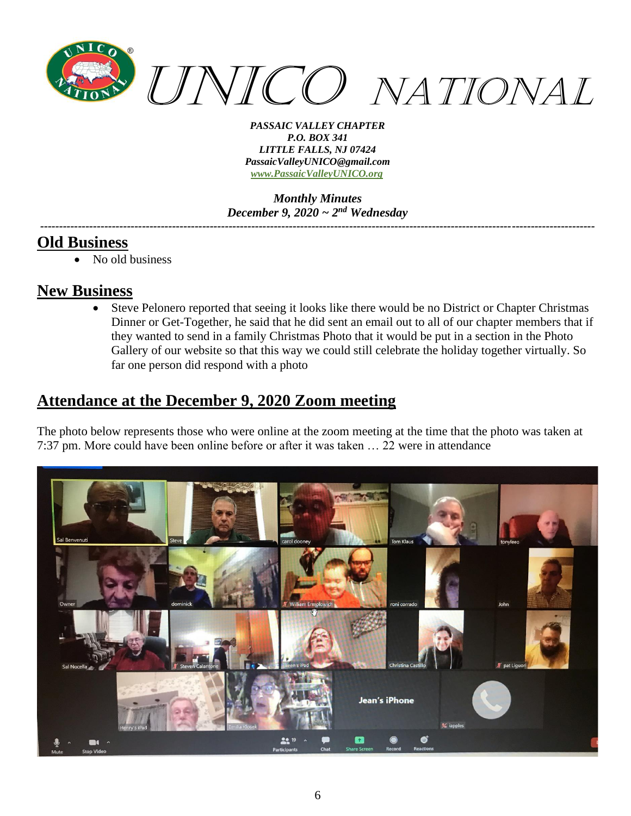

*Monthly Minutes December 9, 2020 ~ 2nd Wednesday*

*---------------------------------------------------------------------------------------------------------------------------------------------------*

### **Old Business**

• No old business

## **New Business**

Steve Pelonero reported that seeing it looks like there would be no District or Chapter Christmas Dinner or Get-Together, he said that he did sent an email out to all of our chapter members that if they wanted to send in a family Christmas Photo that it would be put in a section in the Photo Gallery of our website so that this way we could still celebrate the holiday together virtually. So far one person did respond with a photo

# **Attendance at the December 9, 2020 Zoom meeting**

The photo below represents those who were online at the zoom meeting at the time that the photo was taken at 7:37 pm. More could have been online before or after it was taken … 22 were in attendance